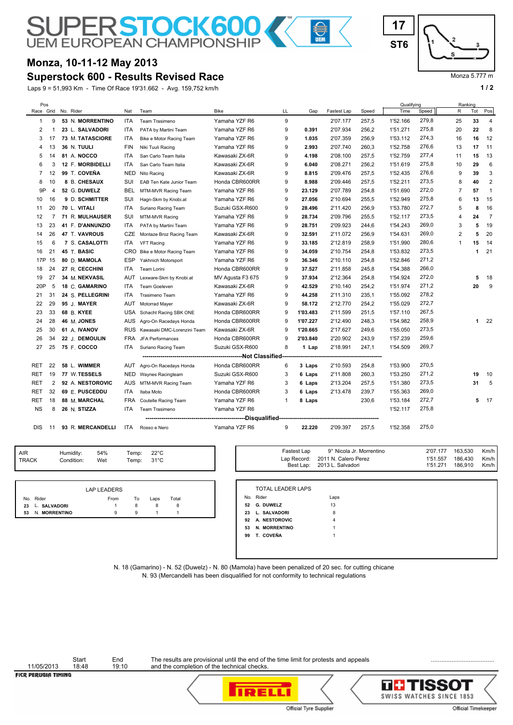# **SUPERSTOCK600**

## **Monza, 10-11-12 May 2013**

### **Superstock 600 - Results Revised Race**

Laps 9 = 51,993 Km - Time Of Race 19'31.662 - Avg. 159,752 km/h **1 and 1 and 1 and 1 and 1 and 1 and 1 a** 1 and 1 a



#### Monza 5.777 m

| Pos                              |                |                   |            |                             |                  |              |          |             |       | Qualifying |       | Ranking        |     |                |
|----------------------------------|----------------|-------------------|------------|-----------------------------|------------------|--------------|----------|-------------|-------|------------|-------|----------------|-----|----------------|
| Race Grid                        |                | No. Rider         | Nat        | Team                        | <b>Bike</b>      | LL           | Gap      | Fastest Lap | Speed | Time       | Speed | R              | Tot | Pos            |
| 1                                | 9              | 53 N. MORRENTINO  | ITA        | Team Trasimeno              | Yamaha YZF R6    | 9            |          | 2'07.177    | 257,5 | 1'52.166   | 279,8 | 25             | 33  | 4              |
| 2                                |                | 23 L. SALVADORI   | ITA        | PATA by Martini Team        | Yamaha YZF R6    | 9            | 0.391    | 2'07.934    | 256,2 | 1'51.271   | 275,8 | 20             | 22  | 8              |
| 3                                | 17             | 73 M. TATASCIORE  | ITA        | Bike e Motor Racing Team    | Yamaha YZF R6    | 9            | 1.035    | 2'07.359    | 256,9 | 1'53.112   | 274,3 | 16             | 16  | 12             |
| 4                                | 13             | 36 N. TUULI       | FIN        | Niki Tuuli Racing           | Yamaha YZF R6    | 9            | 2.993    | 2'07.740    | 260,3 | 1'52.758   | 276,6 | 13             | 17  | 11             |
| 5                                | 14             | 81 A. NOCCO       | <b>ITA</b> | San Carlo Team Italia       | Kawasaki ZX-6R   | 9            | 4.198    | 2'08.100    | 257,5 | 1'52.759   | 277,4 | 11             | 15  | 13             |
| 6                                | 3              | 12 F. MORBIDELLI  | <b>ITA</b> | San Carlo Team Italia       | Kawasaki ZX-6R   | 9            | 6.040    | 2'08.271    | 256,2 | 1'51.619   | 275,8 | 10             | 29  | 6              |
| $\overline{7}$                   | 12             | 99 T. COVEÑA      | NED        | Nito Racing                 | Kawasaki ZX-6R   | 9            | 8.815    | 2'09.476    | 257,5 | 1'52.435   | 276,6 | 9              | 39  | 3              |
| 8                                | 10             | 8 B. CHESAUX      | SUI        | EAB Ten Kate Junior Team    | Honda CBR600RR   | 9            | 8.988    | 2'09.446    | 257,5 | 1'52.211   | 273,5 | 8              | 40  | $\overline{2}$ |
| 9P                               | 4              | 52 G. DUWELZ      | <b>BEL</b> | MTM-MVR Racing Team         | Yamaha YZF R6    | 9            | 23.129   | 2'07.789    | 254,8 | 1'51.690   | 272,0 | $\overline{7}$ | 57  | $\overline{1}$ |
| 10                               | 16             | 9 D. SCHMITTER    | SUI        | Hagn-Skm by Knobi.at        | Yamaha YZF R6    | 9            | 27.056   | 2'10.694    | 255,5 | 1'52.949   | 275,8 | 6              | 13  | 15             |
| 11                               | 20             | 70 L. VITALI      | ITA        | Suriano Racing Team         | Suzuki GSX-R600  | 9            | 28.496   | 2'11.420    | 256,9 | 1'53.780   | 272,7 | 5              | 8   | 16             |
| 12                               | $\overline{7}$ | 71 R. MULHAUSER   | SUI        | MTM-MVR Racing              | Yamaha YZF R6    | 9            | 28.734   | 2'09.796    | 255,5 | 1'52.117   | 273,5 | 4              | 24  | $\overline{7}$ |
| 13                               | 23             | 41 F. D'ANNUNZIO  | ITA        | PATA by Martini Team        | Yamaha YZF R6    | 9            | 28.751   | 2'09.923    | 244,6 | 1'54.243   | 269,0 | 3              | 5   | 19             |
| 14                               | 26             | 47 T. VAVROUS     | CZE        | Montaze Broz Racing Team    | Kawasaki ZX-6R   | 9            | 32.591   | 2'11.072    | 256,9 | 1'54.631   | 269,0 | $\overline{2}$ | 5   | 20             |
| 15                               | 6              | 7 S. CASALOTTI    | ITA        | <b>VFT Racing</b>           | Yamaha YZF R6    | 9            | 33.185   | 2'12.819    | 258,9 | 1'51.990   | 280,6 | $\mathbf{1}$   | 15  | 14             |
| 16                               | 21             | 45 T. BASIC       | CRO        | Bike e Motor Racing Team    | Yamaha YZF R6    | 9            | 34.059   | 2'10.754    | 254,8 | 1'53.832   | 273,5 |                | 1   | 21             |
| 17P                              | 15             | 80 D. MAMOLA      | <b>ESP</b> | Yakhnich Motorsport         | Yamaha YZF R6    | 9            | 36.346   | 2'10.110    | 254,8 | 1'52.846   | 271,2 |                |     |                |
| 18                               | 24             | 27 R. CECCHINI    | ITA        | Team Lorini                 | Honda CBR600RR   | 9            | 37.527   | 2'11.858    | 245,8 | 1'54.388   | 266,0 |                |     |                |
| 19                               | 27             | 34 M. NEKVASIL    | <b>AUT</b> | Lexware-Skm by Knobi.at     | MV Agusta F3 675 | 9            | 37.934   | 2'12.364    | 254,8 | 1'54.924   | 272,0 |                | 5   | 18             |
| 20P                              | 5              | 18 C. GAMARINO    | <b>ITA</b> | Team Goeleven               | Kawasaki ZX-6R   | 9            | 42.529   | 2'10.140    | 254,2 | 1'51.974   | 271,2 |                | 20  | 9              |
| 21                               | 31             | 24 S. PELLEGRINI  | <b>ITA</b> | Trasimeno Team              | Yamaha YZF R6    | 9            | 44.258   | 2'11.310    | 235,1 | 1'55.092   | 278,2 |                |     |                |
| 22                               | 29             | 95 J. MAYER       | AUT        | Motorrad Mayer              | Kawasaki ZX-6R   | 9            | 58.172   | 2'12.770    | 254,2 | 1'55.029   | 272,7 |                |     |                |
| 23                               | 33             | 68 B. KYEE        | USA        | Schacht Racing SBK ONE      | Honda CBR600RR   | 9            | 1'03.483 | 2'11.599    | 251,5 | 1'57.110   | 267,5 |                |     |                |
| 24                               | 28             | 46 M. JONES       | <b>AUS</b> | Agro-On Racedays Honda      | Honda CBR600RR   | 9            | 1'07.227 | 2'12.490    | 248,3 | 1'54.982   | 258,9 |                | 1   | 22             |
| 25                               | 30             | 61 A. IVANOV      | <b>RUS</b> | Kawasaki DMC-Lorenzini Team | Kawasaki ZX-6R   | 9            | 1'20.665 | 2'17.627    | 249,6 | 1'55.050   | 273,5 |                |     |                |
| 26                               | 34             | 22 J. DEMOULIN    | FRA        | JFA Performances            | Honda CBR600RR   | 9            | 2'03.840 | 2'20.902    | 243,9 | 1'57.239   | 259,6 |                |     |                |
| 27                               | 25             | 75 F. COCCO       | ITA        | Suriano Racing Team         | Suzuki GSX-R600  | 8            | 1 Lap    | 2'18.991    | 247,1 | 1'54.509   | 269,7 |                |     |                |
| ---------------Not Classified--- |                |                   |            |                             |                  |              |          |             |       |            |       |                |     |                |
| <b>RET</b>                       | 22             | 58 L. WIMMER      | AUT        | Agro-On Racedays Honda      | Honda CBR600RR   | 6            | 3 Laps   | 2'10.593    | 254,8 | 1'53.900   | 270,5 |                |     |                |
| <b>RET</b>                       | 19             | 77 W.TESSELS      | <b>NED</b> | Waynes Racingteam           | Suzuki GSX-R600  | 3            | 6 Laps   | 2'11.808    | 260,3 | 1'53.250   | 271,2 |                | 19  | 10             |
| <b>RET</b>                       | $\overline{2}$ | 92 A. NESTOROVIC  | <b>AUS</b> | MTM-MVR Racing Team         | Yamaha YZF R6    | 3            | 6 Laps   | 2'13.204    | 257,5 | 1'51.380   | 273,5 |                | 31  | 5              |
| <b>RET</b>                       | 32             | 69 E. PUSCEDDU    | <b>ITA</b> | Itaba Moto                  | Honda CBR600RR   | 3            | 6 Laps   | 2'13.478    | 239,7 | 1'55.363   | 269,0 |                |     |                |
| <b>RET</b>                       | 18             | 88 M. MARCHAL     | <b>FRA</b> | Coutelle Racing Team        | Yamaha YZF R6    | $\mathbf{1}$ | 8 Laps   |             | 230,6 | 1'53.184   | 272,7 |                | 5   | 17             |
| <b>NS</b>                        | 8              | 26 N. STIZZA      | <b>ITA</b> | Team Trasimeno              | Yamaha YZF R6    |              |          |             |       | 1'52.117   | 275,8 |                |     |                |
|                                  |                |                   |            |                             |                  |              |          |             |       |            |       |                |     |                |
| <b>DIS</b>                       | 11             | 93 R. MERCANDELLI | <b>ITA</b> | Rosso e Nero                | Yamaha YZF R6    | 9            | 22.220   | 2'09.397    | 257,5 | 1'52.358   | 275,0 |                |     |                |

| AIR   | Humidity:  | 54% | Temp: | 22°C           |
|-------|------------|-----|-------|----------------|
| TRACK | Condition: | Wet | Temp: | $31^{\circ}$ C |
|       |            |     |       |                |

|    |                 | LAP LEADERS |    |      |       |
|----|-----------------|-------------|----|------|-------|
|    | No. Rider       | From        | To | Laps | Total |
|    | 23 L. SALVADORI |             | 8  | 8    | 8     |
| 53 | N. MORRENTINO   | g           | 9  |      |       |

| Temp:<br>Temp: | $22^{\circ}$ C<br>$31^{\circ}$ C |       |    | Fastest Lap              | 9° Nicola Jr. Morrentino<br>Lap Record: 2011 N. Calero Perez<br>Best Lap: 2013 L. Salvadori | 2'07.177<br>1'51.557<br>1'51.271 | 163,530<br>186,430<br>186,910 | Km/h<br>Km/h<br>Km/h |
|----------------|----------------------------------|-------|----|--------------------------|---------------------------------------------------------------------------------------------|----------------------------------|-------------------------------|----------------------|
|                |                                  |       |    | <b>TOTAL LEADER LAPS</b> |                                                                                             |                                  |                               |                      |
| To             | Laps                             | Total |    | No. Rider                | Laps                                                                                        |                                  |                               |                      |
| 8              | 8                                | 8     | 52 | G. DUWELZ                | 13                                                                                          |                                  |                               |                      |
| 9              |                                  |       |    | 23 L. SALVADORI          | 8                                                                                           |                                  |                               |                      |
|                |                                  |       | 92 | A. NESTOROVIC            | 4                                                                                           |                                  |                               |                      |
|                |                                  |       | 53 | N. MORRENTINO            |                                                                                             |                                  |                               |                      |
|                |                                  |       | 99 | T. COVEÑA                |                                                                                             |                                  |                               |                      |
|                |                                  |       |    |                          |                                                                                             |                                  |                               |                      |
|                |                                  |       |    |                          |                                                                                             |                                  |                               |                      |
|                |                                  |       |    |                          |                                                                                             |                                  |                               |                      |

N. 18 (Gamarino) - N. 52 (Duwelz) - N. 80 (Mamola) have been penalized of 20 sec. for cutting chicane N. 93 (Mercandelli has been disqualified for not conformity to technical regulations